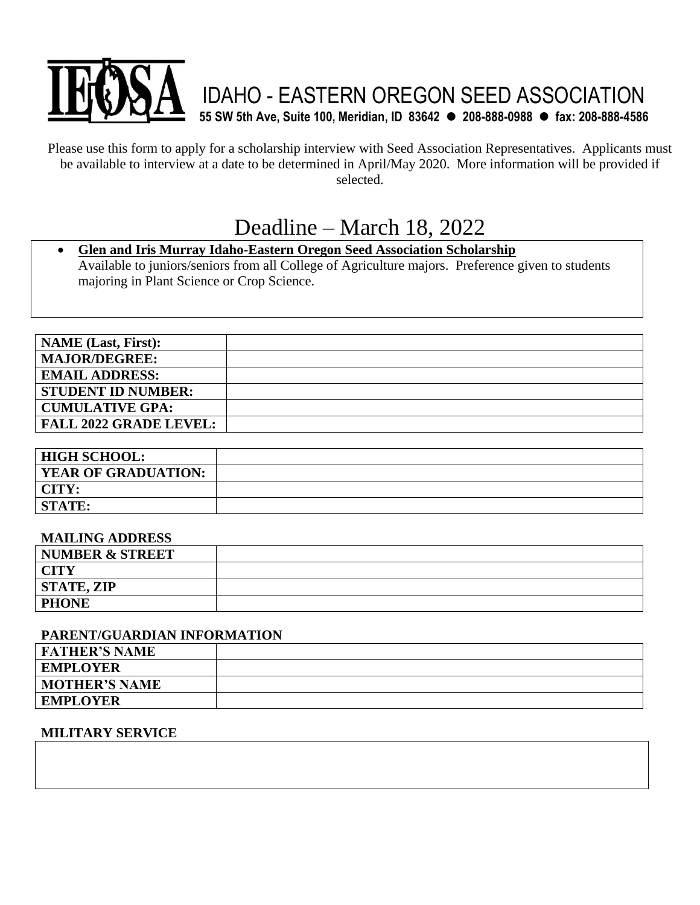

Please use this form to apply for a scholarship interview with Seed Association Representatives. Applicants must be available to interview at a date to be determined in April/May 2020. More information will be provided if selected.

# Deadline – March 18, 2022

### • **Glen and Iris Murray Idaho-Eastern Oregon Seed Association Scholarship**  Available to juniors/seniors from all College of Agriculture majors. Preference given to students majoring in Plant Science or Crop Science.

| <b>NAME</b> (Last, First):    |  |
|-------------------------------|--|
| <b>MAJOR/DEGREE:</b>          |  |
| <b>EMAIL ADDRESS:</b>         |  |
| <b>STUDENT ID NUMBER:</b>     |  |
| <b>CUMULATIVE GPA:</b>        |  |
| <b>FALL 2022 GRADE LEVEL:</b> |  |

| <b>HIGH SCHOOL:</b>        |  |
|----------------------------|--|
| <b>YEAR OF GRADUATION:</b> |  |
| CITY:                      |  |
| <b>STATE:</b>              |  |

#### **MAILING ADDRESS**

| NUMBER & STREET   |  |
|-------------------|--|
| <b>CITY</b>       |  |
| <b>STATE, ZIP</b> |  |
| <b>PHONE</b>      |  |

#### **PARENT/GUARDIAN INFORMATION**

| <b>FATHER'S NAME</b> |  |
|----------------------|--|
| <b>EMPLOYER</b>      |  |
| <b>MOTHER'S NAME</b> |  |
| <b>EMPLOYER</b>      |  |

#### **MILITARY SERVICE**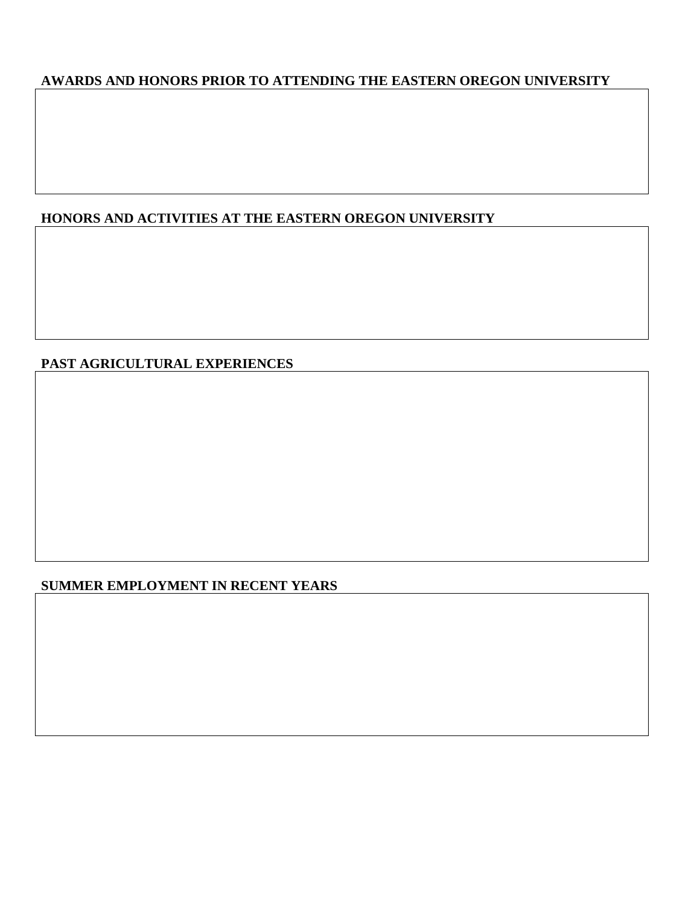# **AWARDS AND HONORS PRIOR TO ATTENDING THE EASTERN OREGON UNIVERSITY**

# **HONORS AND ACTIVITIES AT THE EASTERN OREGON UNIVERSITY**

## **PAST AGRICULTURAL EXPERIENCES**

## **SUMMER EMPLOYMENT IN RECENT YEARS**